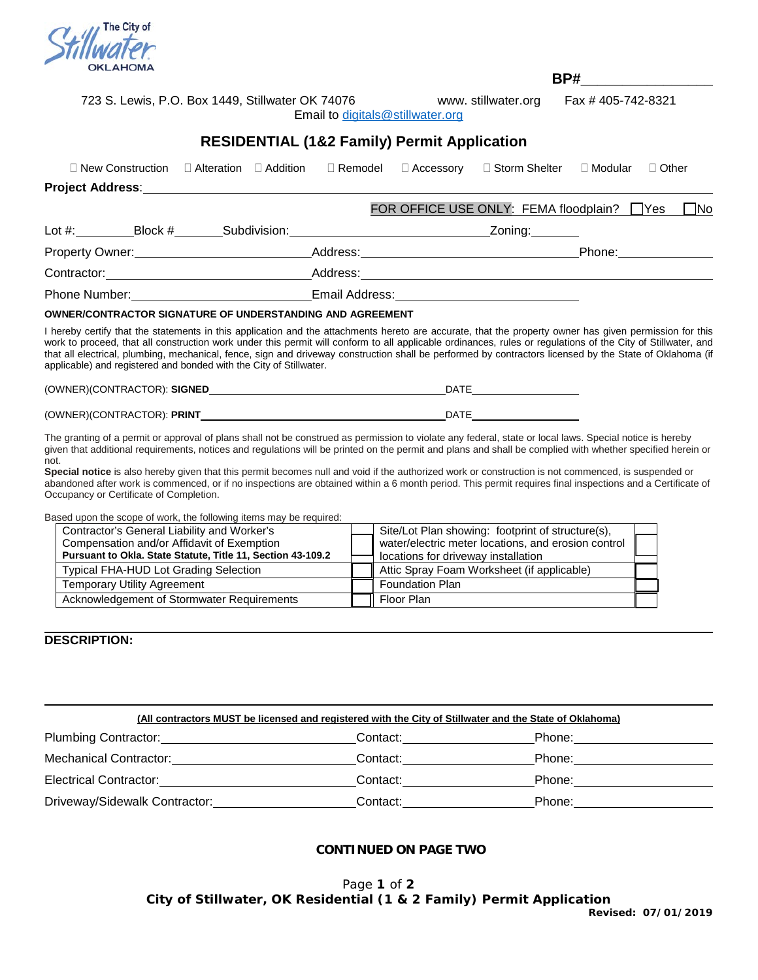

| <b>OKLAHOMA</b>                                                                      |                                   |  |                | BP#              |                    |                   |              |
|--------------------------------------------------------------------------------------|-----------------------------------|--|----------------|------------------|--------------------|-------------------|--------------|
| 723 S. Lewis, P.O. Box 1449, Stillwater OK 74076<br>Email to digitals@stillwater.org |                                   |  |                |                  | www.stillwater.org | Fax #405-742-8321 |              |
| <b>RESIDENTIAL (1&amp;2 Family) Permit Application</b>                               |                                   |  |                |                  |                    |                   |              |
| New Construction<br>.                                                                | $\Box$ Alteration $\Box$ Addition |  | $\Box$ Remodel | $\Box$ Accessory | □ Storm Shelter    | $\Box$ Modular    | $\Box$ Other |

| <b>Project Address:</b> |  |
|-------------------------|--|
|                         |  |

 $\Box$  New Construction

|                 |         |              |                | FOR OFFICE USE ONLY: FEMA floodplain?<br>∃Yes | No |
|-----------------|---------|--------------|----------------|-----------------------------------------------|----|
| Lot $#$ :       | Block # | Subdivision: |                | Zoning:                                       |    |
| Property Owner: |         |              | Address:       | Phone:                                        |    |
| Contractor:     |         |              | Address:       |                                               |    |
| Phone Number:   |         |              | Email Address: |                                               |    |

#### **OWNER/CONTRACTOR SIGNATURE OF UNDERSTANDING AND AGREEMENT**

I hereby certify that the statements in this application and the attachments hereto are accurate, that the property owner has given permission for this work to proceed, that all construction work under this permit will conform to all applicable ordinances, rules or regulations of the City of Stillwater, and that all electrical, plumbing, mechanical, fence, sign and driveway construction shall be performed by contractors licensed by the State of Oklahoma (if applicable) and registered and bonded with the City of Stillwater.

| (OWNER)(CONTRACTOR): SIGNED | DATE |
|-----------------------------|------|
|                             |      |
| (OWNER)(CONTRACTOR): PRINT  | DATE |

The granting of a permit or approval of plans shall not be construed as permission to violate any federal, state or local laws. Special notice is hereby given that additional requirements, notices and regulations will be printed on the permit and plans and shall be complied with whether specified herein or not.

**Special notice** is also hereby given that this permit becomes null and void if the authorized work or construction is not commenced, is suspended or abandoned after work is commenced, or if no inspections are obtained within a 6 month period. This permit requires final inspections and a Certificate of Occupancy or Certificate of Completion.

Based upon the scope of work, the following items may be required:

| Contractor's General Liability and Worker's                 | Site/Lot Plan showing: footprint of structure(s),   |  |
|-------------------------------------------------------------|-----------------------------------------------------|--|
| Compensation and/or Affidavit of Exemption                  | water/electric meter locations, and erosion control |  |
| Pursuant to Okla. State Statute, Title 11, Section 43-109.2 | locations for driveway installation                 |  |
| <b>Typical FHA-HUD Lot Grading Selection</b>                | Attic Spray Foam Worksheet (if applicable)          |  |
| <b>Temporary Utility Agreement</b>                          | <b>Foundation Plan</b>                              |  |
| Acknowledgement of Stormwater Requirements                  | Floor Plan                                          |  |

#### **DESCRIPTION:**

| (All contractors MUST be licensed and registered with the City of Stillwater and the State of Oklahoma) |          |        |
|---------------------------------------------------------------------------------------------------------|----------|--------|
| Plumbing Contractor:                                                                                    | Contact: | Phone: |
| <b>Mechanical Contractor:</b>                                                                           | Contact: | Phone: |
| <b>Electrical Contractor:</b>                                                                           | Contact: | Phone: |
| Driveway/Sidewalk Contractor:                                                                           | Contact: | Phone: |

#### **CONTINUED ON PAGE TWO**

Page **1** of **2 City of Stillwater, OK Residential (1 & 2 Family) Permit Application**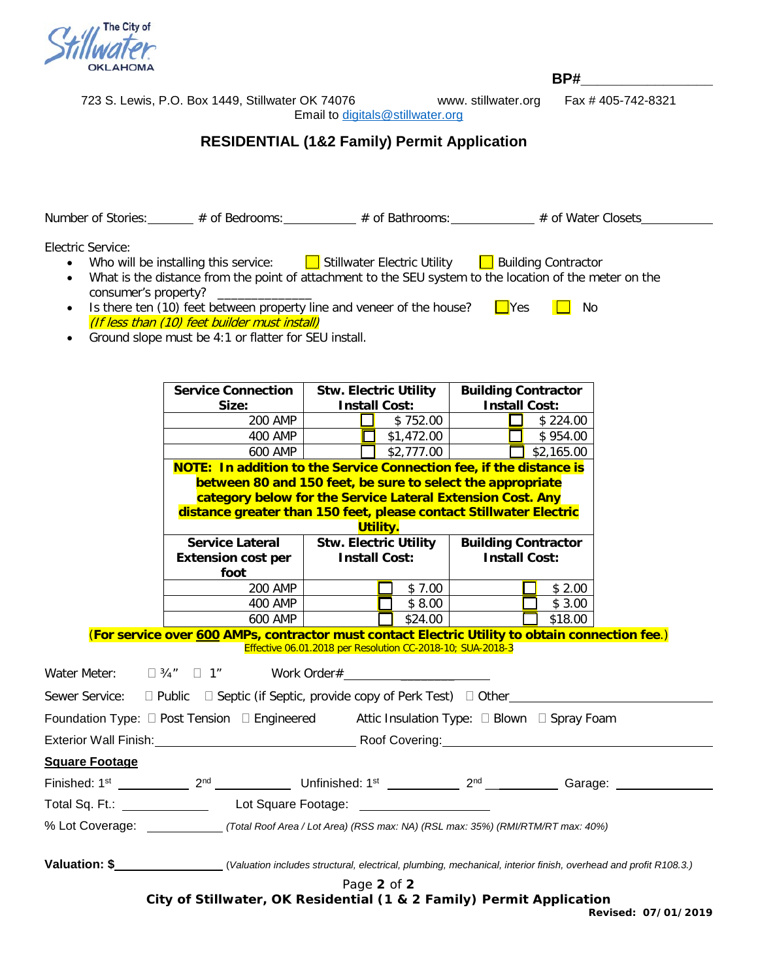

**BP#\_\_\_\_\_\_\_\_\_\_\_\_\_\_\_\_**

723 S. Lewis, P.O. Box 1449, Stillwater OK 74076 www. stillwater.org Fax # 405-742-8321

Email to [digitals@stillwater.org](mailto:digitals@stillwater.org)

# **RESIDENTIAL (1&2 Family) Permit Application**

Number of Stories: # of Bedrooms: # of Bathrooms: # of Bathrooms: # of Water Closets

Electric Service:

- Who will be installing this service:  $\Box$  Stillwater Electric Utility  $\Box$  Building Contractor
- What is the distance from the point of attachment to the SEU system to the location of the meter on the consumer's property? \_\_\_\_\_\_\_
- Is there ten (10) feet between property line and veneer of the house?  $\Box$  Yes  $\Box$  No (If less than (10) feet builder must install)
- Ground slope must be 4:1 or flatter for SEU install.

|                       | <b>Service Connection</b><br>Size:                                                                                                                                                                                             | Stw. Electric Utility<br><b>Install Cost:</b>                                  | <b>Building Contractor</b><br><b>Install Cost:</b>                  |
|-----------------------|--------------------------------------------------------------------------------------------------------------------------------------------------------------------------------------------------------------------------------|--------------------------------------------------------------------------------|---------------------------------------------------------------------|
|                       | <b>200 AMP</b>                                                                                                                                                                                                                 | $\Box$ \$752.00                                                                | $\Box$ \$ 224.00                                                    |
|                       | 400 AMP                                                                                                                                                                                                                        | $\overline{5}$ \$1,472.00                                                      | $\Box$ \$954.00                                                     |
|                       | 600 AMP                                                                                                                                                                                                                        | \$2,777.00                                                                     | $\Box$ \$2,165.00                                                   |
|                       |                                                                                                                                                                                                                                | <b>NOTE: In addition to the Service Connection fee, if the distance is</b>     |                                                                     |
|                       |                                                                                                                                                                                                                                | between 80 and 150 feet, be sure to select the appropriate                     |                                                                     |
|                       |                                                                                                                                                                                                                                | category below for the Service Lateral Extension Cost. Any                     |                                                                     |
|                       |                                                                                                                                                                                                                                | distance greater than 150 feet, please contact Stillwater Electric<br>Utility. |                                                                     |
|                       | <b>Service Lateral</b><br><b>Extension cost per</b>                                                                                                                                                                            | <b>Install Cost:</b>                                                           | Stw. Electric Utility   Building Contractor<br><b>Install Cost:</b> |
|                       | foot<br>200 AMP                                                                                                                                                                                                                | $\Box$ \$7.00                                                                  | $\begin{array}{ c c } \hline \end{array}$ \$ 2.00                   |
|                       | 400 AMP                                                                                                                                                                                                                        | \$8.00                                                                         | \$3.00                                                              |
|                       | 600 AMP                                                                                                                                                                                                                        | \$24.00<br>$\Box$                                                              | \$18.00                                                             |
|                       | Water Meter: $\Box 34''$ $\Box 1''$ Work Order#<br>Sewer Service: □ Public □ Septic (if Septic, provide copy of Perk Test) □ Other __________________                                                                          | Effective 06.01.2018 per Resolution CC-2018-10; SUA-2018-3                     |                                                                     |
|                       |                                                                                                                                                                                                                                |                                                                                |                                                                     |
|                       | Foundation Type: $\square$ Post Tension $\square$ Engineered Attic Insulation Type: $\square$ Blown $\square$ Spray Foam                                                                                                       |                                                                                |                                                                     |
|                       | Exterior Wall Finish: Not all the Roof Covering: Not all the Roof Covering: Not all the Roof Covering:                                                                                                                         |                                                                                |                                                                     |
| <b>Square Footage</b> |                                                                                                                                                                                                                                |                                                                                |                                                                     |
|                       |                                                                                                                                                                                                                                |                                                                                |                                                                     |
|                       | Total Sq. Ft.: \\cdots\\square Footage: \\square Footage: \\square Footage: \\square \square \square \square \square \square \square \square \square \square \square \square \square \square \square \square \square \square \ |                                                                                |                                                                     |
|                       | % Lot Coverage: (Total Roof Area / Lot Area) (RSS max: NA) (RSL max: 35%) (RMI/RTM/RT max: 40%)                                                                                                                                |                                                                                |                                                                     |
|                       | Valuation: \$__________________(Valuation includes structural, electrical, plumbing, mechanical, interior finish, overhead and profit R108.3.)                                                                                 | Page 2 of 2                                                                    |                                                                     |
|                       | City of Stillwater, OK Residential (1 & 2 Family) Permit Application                                                                                                                                                           |                                                                                |                                                                     |

**Revised: 07/01/2019**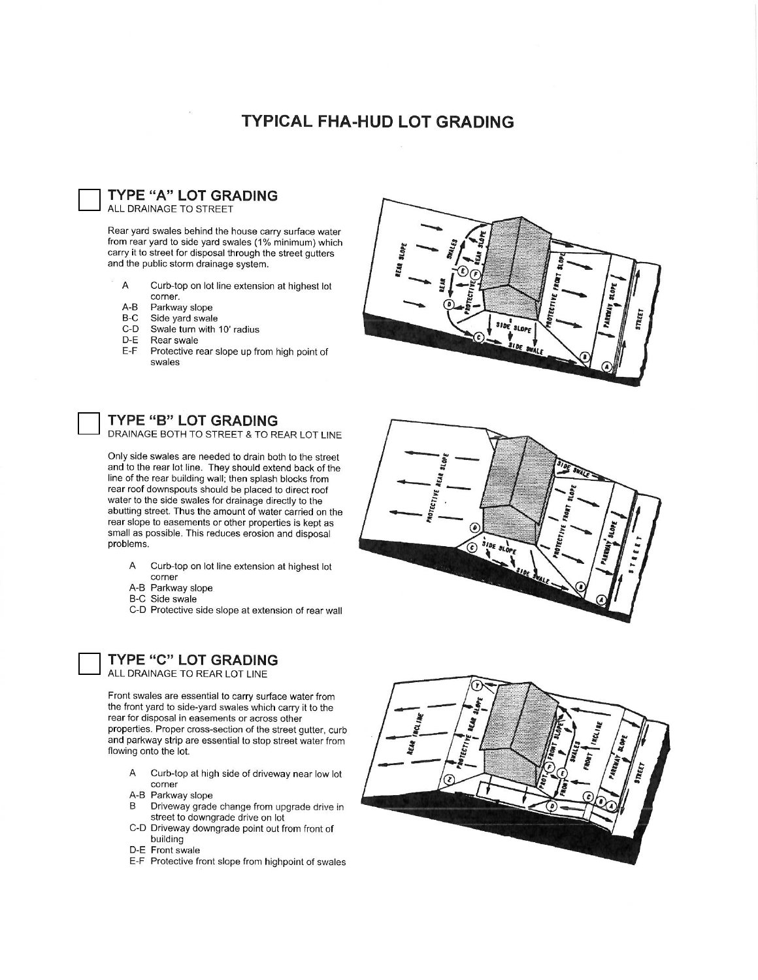## **TYPICAL FHA-HUD LOT GRADING**

**TYPE "A" LOT GRADING** ALL DRAINAGE TO STREET

Rear yard swales behind the house carry surface water from rear yard to side yard swales (1% minimum) which carry it to street for disposal through the street gutters and the public storm drainage system.

- Curb-top on lot line extension at highest lot A corner.
- $A-B$ Parkway slope
- Side yard swale B-C
- $C-D$ Swale turn with 10' radius
- D-E Rear swale
- $E-F$ Protective rear slope up from high point of swales

## **TYPE "B" LOT GRADING**

DRAINAGE BOTH TO STREET & TO REAR LOT LINE

Only side swales are needed to drain both to the street and to the rear lot line. They should extend back of the line of the rear building wall; then splash blocks from<br>rear roof downspouts should be placed to direct roof water to the side swales for drainage directly to the abutting street. Thus the amount of water carried on the rear slope to easements or other properties is kept as small as possible. This reduces erosion and disposal problems.

- Α Curb-top on lot line extension at highest lot corner
- A-B Parkway slope
- B-C Side swale
- C-D Protective side slope at extension of rear wall

## **TYPE "C" LOT GRADING**

ALL DRAINAGE TO REAR LOT LINE

Front swales are essential to carry surface water from the front yard to side-yard swales which carry it to the rear for disposal in easements or across other properties. Proper cross-section of the street gutter, curb and parkway strip are essential to stop street water from flowing onto the lot.

- A Curb-top at high side of driveway near low lot corner
- A-B Parkway slope
- Driveway grade change from upgrade drive in B. street to downgrade drive on lot
- C-D Driveway downgrade point out from front of building
- D-E Front swale
- E-F Protective front slope from highpoint of swales





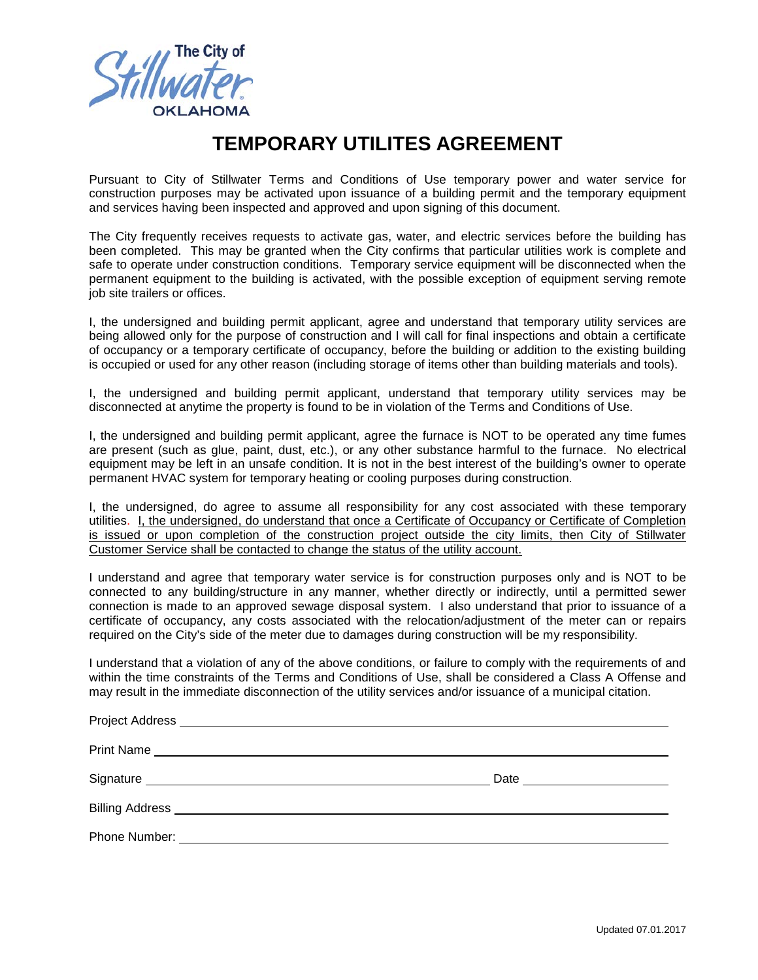**The City of OKLAHOMA** 

Project Address

# **TEMPORARY UTILITES AGREEMENT**

Pursuant to City of Stillwater Terms and Conditions of Use temporary power and water service for construction purposes may be activated upon issuance of a building permit and the temporary equipment and services having been inspected and approved and upon signing of this document.

The City frequently receives requests to activate gas, water, and electric services before the building has been completed. This may be granted when the City confirms that particular utilities work is complete and safe to operate under construction conditions. Temporary service equipment will be disconnected when the permanent equipment to the building is activated, with the possible exception of equipment serving remote job site trailers or offices.

I, the undersigned and building permit applicant, agree and understand that temporary utility services are being allowed only for the purpose of construction and I will call for final inspections and obtain a certificate of occupancy or a temporary certificate of occupancy, before the building or addition to the existing building is occupied or used for any other reason (including storage of items other than building materials and tools).

I, the undersigned and building permit applicant, understand that temporary utility services may be disconnected at anytime the property is found to be in violation of the Terms and Conditions of Use.

I, the undersigned and building permit applicant, agree the furnace is NOT to be operated any time fumes are present (such as glue, paint, dust, etc.), or any other substance harmful to the furnace. No electrical equipment may be left in an unsafe condition. It is not in the best interest of the building's owner to operate permanent HVAC system for temporary heating or cooling purposes during construction.

I, the undersigned, do agree to assume all responsibility for any cost associated with these temporary utilities. I, the undersigned, do understand that once a Certificate of Occupancy or Certificate of Completion is issued or upon completion of the construction project outside the city limits, then City of Stillwater Customer Service shall be contacted to change the status of the utility account.

I understand and agree that temporary water service is for construction purposes only and is NOT to be connected to any building/structure in any manner, whether directly or indirectly, until a permitted sewer connection is made to an approved sewage disposal system. I also understand that prior to issuance of a certificate of occupancy, any costs associated with the relocation/adjustment of the meter can or repairs required on the City's side of the meter due to damages during construction will be my responsibility.

I understand that a violation of any of the above conditions, or failure to comply with the requirements of and within the time constraints of the Terms and Conditions of Use, shall be considered a Class A Offense and may result in the immediate disconnection of the utility services and/or issuance of a municipal citation.

| Date _________________________ |
|--------------------------------|
|                                |
|                                |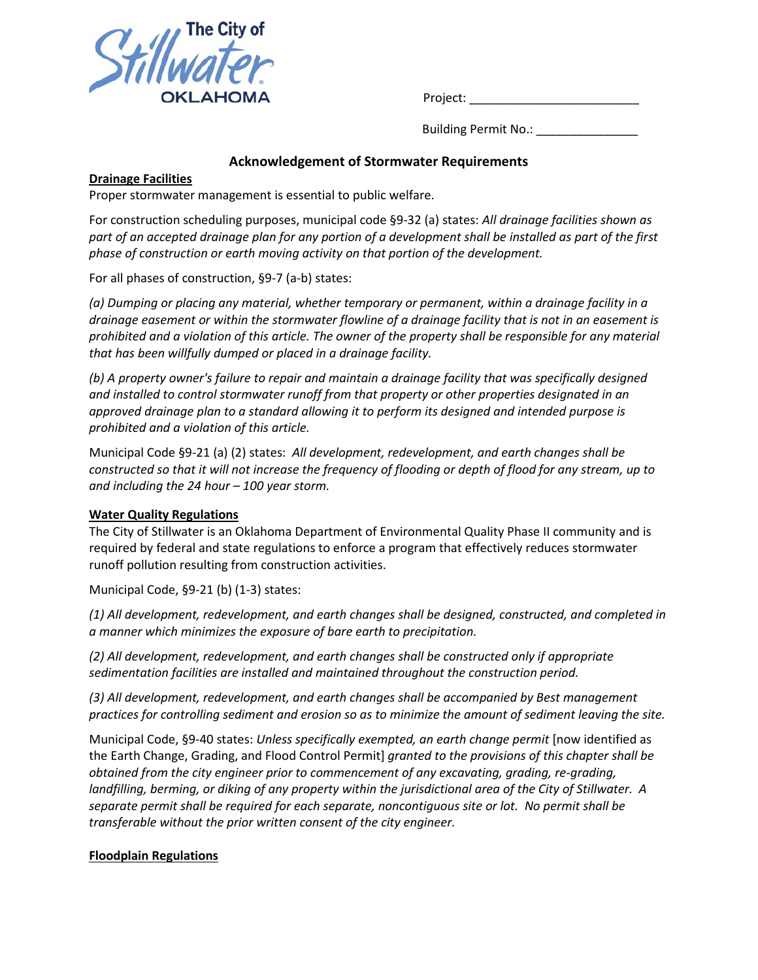

Project: \_\_\_\_\_\_\_\_\_\_\_\_\_\_\_\_\_\_\_\_\_\_\_\_\_

Building Permit No.: \_\_\_\_\_\_\_\_\_\_\_\_\_\_

## **Acknowledgement of Stormwater Requirements**

#### **Drainage Facilities**

Proper stormwater management is essential to public welfare.

For construction scheduling purposes, municipal code §9-32 (a) states: *All drainage facilities shown as part of an accepted drainage plan for any portion of a development shall be installed as part of the first phase of construction or earth moving activity on that portion of the development.*

For all phases of construction, §9-7 (a-b) states:

*(a) Dumping or placing any material, whether temporary or permanent, within a drainage facility in a drainage easement or within the stormwater flowline of a drainage facility that is not in an easement is prohibited and a violation of this article. The owner of the property shall be responsible for any material that has been willfully dumped or placed in a drainage facility.*

*(b) A property owner's failure to repair and maintain a drainage facility that was specifically designed and installed to control stormwater runoff from that property or other properties designated in an approved drainage plan to a standard allowing it to perform its designed and intended purpose is prohibited and a violation of this article.*

Municipal Code §9-21 (a) (2) states: *All development, redevelopment, and earth changes shall be constructed so that it will not increase the frequency of flooding or depth of flood for any stream, up to and including the 24 hour – 100 year storm.*

#### **Water Quality Regulations**

The City of Stillwater is an Oklahoma Department of Environmental Quality Phase II community and is required by federal and state regulations to enforce a program that effectively reduces stormwater runoff pollution resulting from construction activities.

Municipal Code, §9-21 (b) (1-3) states:

*(1) All development, redevelopment, and earth changes shall be designed, constructed, and completed in a manner which minimizes the exposure of bare earth to precipitation.* 

*(2) All development, redevelopment, and earth changes shall be constructed only if appropriate sedimentation facilities are installed and maintained throughout the construction period.*

*(3) All development, redevelopment, and earth changes shall be accompanied by Best management practices for controlling sediment and erosion so as to minimize the amount of sediment leaving the site.*

Municipal Code, §9-40 states: *Unless specifically exempted, an earth change permit* [now identified as the Earth Change, Grading, and Flood Control Permit] *granted to the provisions of this chapter shall be obtained from the city engineer prior to commencement of any excavating, grading, re-grading, landfilling, berming, or diking of any property within the jurisdictional area of the City of Stillwater. A separate permit shall be required for each separate, noncontiguous site or lot. No permit shall be transferable without the prior written consent of the city engineer.*

## **Floodplain Regulations**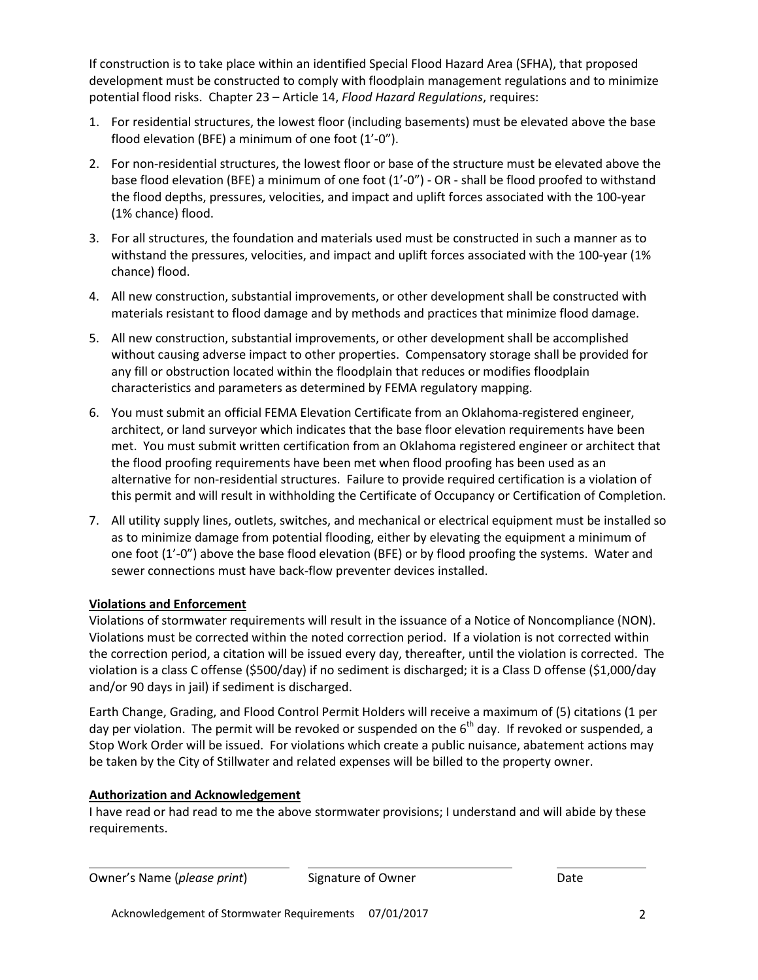If construction is to take place within an identified Special Flood Hazard Area (SFHA), that proposed development must be constructed to comply with floodplain management regulations and to minimize potential flood risks. Chapter 23 – Article 14, *Flood Hazard Regulations*, requires:

- 1. For residential structures, the lowest floor (including basements) must be elevated above the base flood elevation (BFE) a minimum of one foot (1'-0").
- 2. For non-residential structures, the lowest floor or base of the structure must be elevated above the base flood elevation (BFE) a minimum of one foot (1'-0") - OR - shall be flood proofed to withstand the flood depths, pressures, velocities, and impact and uplift forces associated with the 100-year (1% chance) flood.
- 3. For all structures, the foundation and materials used must be constructed in such a manner as to withstand the pressures, velocities, and impact and uplift forces associated with the 100-year (1% chance) flood.
- 4. All new construction, substantial improvements, or other development shall be constructed with materials resistant to flood damage and by methods and practices that minimize flood damage.
- 5. All new construction, substantial improvements, or other development shall be accomplished without causing adverse impact to other properties. Compensatory storage shall be provided for any fill or obstruction located within the floodplain that reduces or modifies floodplain characteristics and parameters as determined by FEMA regulatory mapping.
- 6. You must submit an official FEMA Elevation Certificate from an Oklahoma-registered engineer, architect, or land surveyor which indicates that the base floor elevation requirements have been met. You must submit written certification from an Oklahoma registered engineer or architect that the flood proofing requirements have been met when flood proofing has been used as an alternative for non-residential structures. Failure to provide required certification is a violation of this permit and will result in withholding the Certificate of Occupancy or Certification of Completion.
- 7. All utility supply lines, outlets, switches, and mechanical or electrical equipment must be installed so as to minimize damage from potential flooding, either by elevating the equipment a minimum of one foot (1'-0") above the base flood elevation (BFE) or by flood proofing the systems. Water and sewer connections must have back-flow preventer devices installed.

## **Violations and Enforcement**

Violations of stormwater requirements will result in the issuance of a Notice of Noncompliance (NON). Violations must be corrected within the noted correction period. If a violation is not corrected within the correction period, a citation will be issued every day, thereafter, until the violation is corrected. The violation is a class C offense (\$500/day) if no sediment is discharged; it is a Class D offense (\$1,000/day and/or 90 days in jail) if sediment is discharged.

Earth Change, Grading, and Flood Control Permit Holders will receive a maximum of (5) citations (1 per day per violation. The permit will be revoked or suspended on the  $6<sup>th</sup>$  day. If revoked or suspended, a Stop Work Order will be issued. For violations which create a public nuisance, abatement actions may be taken by the City of Stillwater and related expenses will be billed to the property owner.

## **Authorization and Acknowledgement**

I have read or had read to me the above stormwater provisions; I understand and will abide by these requirements.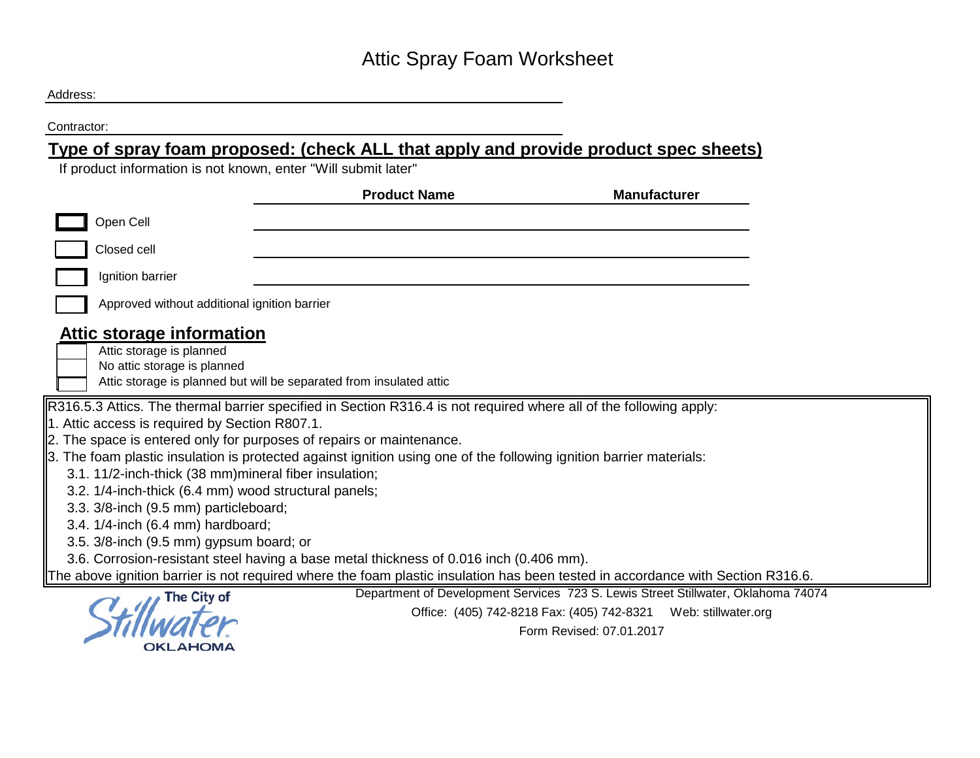# Attic Spray Foam Worksheet

| Address: |
|----------|
|----------|

Contractor:

# **Type of spray foam proposed: (check ALL that apply and provide product spec sheets)**

If product information is not known, enter "Will submit later"

|                                                                 | <b>Product Name</b>                                                                                                 | <b>Manufacturer</b>                                                                                                             |  |  |  |  |
|-----------------------------------------------------------------|---------------------------------------------------------------------------------------------------------------------|---------------------------------------------------------------------------------------------------------------------------------|--|--|--|--|
| Open Cell                                                       |                                                                                                                     |                                                                                                                                 |  |  |  |  |
| Closed cell                                                     |                                                                                                                     |                                                                                                                                 |  |  |  |  |
| Ignition barrier                                                |                                                                                                                     |                                                                                                                                 |  |  |  |  |
| Approved without additional ignition barrier                    |                                                                                                                     |                                                                                                                                 |  |  |  |  |
| <b>Attic storage information</b>                                |                                                                                                                     |                                                                                                                                 |  |  |  |  |
| Attic storage is planned                                        |                                                                                                                     |                                                                                                                                 |  |  |  |  |
| No attic storage is planned                                     |                                                                                                                     |                                                                                                                                 |  |  |  |  |
|                                                                 | Attic storage is planned but will be separated from insulated attic                                                 |                                                                                                                                 |  |  |  |  |
|                                                                 | R316.5.3 Attics. The thermal barrier specified in Section R316.4 is not required where all of the following apply:  |                                                                                                                                 |  |  |  |  |
| 1. Attic access is required by Section R807.1.                  |                                                                                                                     |                                                                                                                                 |  |  |  |  |
|                                                                 | 2. The space is entered only for purposes of repairs or maintenance.                                                |                                                                                                                                 |  |  |  |  |
|                                                                 | 3. The foam plastic insulation is protected against ignition using one of the following ignition barrier materials: |                                                                                                                                 |  |  |  |  |
| 3.1. 11/2-inch-thick (38 mm) mineral fiber insulation;          |                                                                                                                     |                                                                                                                                 |  |  |  |  |
| 3.2. 1/4-inch-thick (6.4 mm) wood structural panels;            |                                                                                                                     |                                                                                                                                 |  |  |  |  |
|                                                                 | 3.3. 3/8-inch (9.5 mm) particleboard;                                                                               |                                                                                                                                 |  |  |  |  |
| 3.4. 1/4-inch (6.4 mm) hardboard;                               |                                                                                                                     |                                                                                                                                 |  |  |  |  |
| 3.5. 3/8-inch (9.5 mm) gypsum board; or                         |                                                                                                                     |                                                                                                                                 |  |  |  |  |
|                                                                 | 3.6. Corrosion-resistant steel having a base metal thickness of 0.016 inch (0.406 mm).                              |                                                                                                                                 |  |  |  |  |
|                                                                 |                                                                                                                     | The above ignition barrier is not required where the foam plastic insulation has been tested in accordance with Section R316.6. |  |  |  |  |
| The City of                                                     |                                                                                                                     | Department of Development Services 723 S. Lewis Street Stillwater, Oklahoma 74074                                               |  |  |  |  |
| Office: (405) 742-8218 Fax: (405) 742-8321  Web: stillwater.org |                                                                                                                     |                                                                                                                                 |  |  |  |  |
|                                                                 | Form Revised: 07.01.2017                                                                                            |                                                                                                                                 |  |  |  |  |
|                                                                 |                                                                                                                     |                                                                                                                                 |  |  |  |  |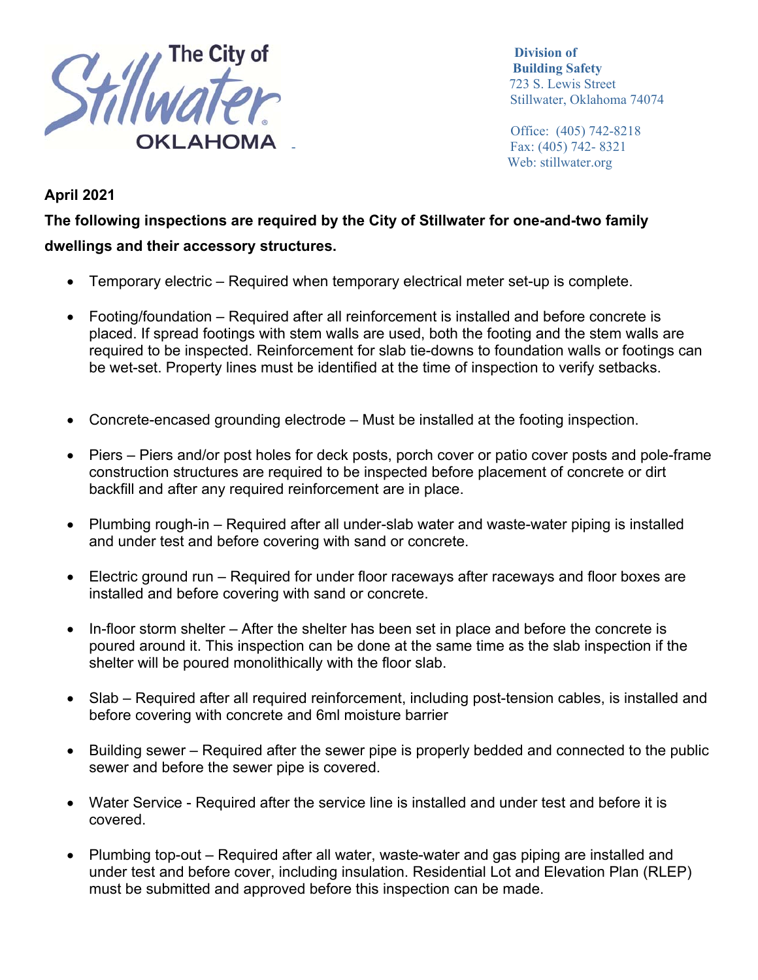

 **Division of Building Safety** 723 S. Lewis Street Stillwater, Oklahoma 74074

 Office: (405) 742-8218 Fax: (405) 742-8321 Web: stillwater.org

## **April 2021**

**The following inspections are required by the City of Stillwater for one-and-two family dwellings and their accessory structures.** 

- Temporary electric Required when temporary electrical meter set-up is complete.
- Footing/foundation Required after all reinforcement is installed and before concrete is placed. If spread footings with stem walls are used, both the footing and the stem walls are required to be inspected. Reinforcement for slab tie-downs to foundation walls or footings can be wet-set. Property lines must be identified at the time of inspection to verify setbacks.
- Concrete-encased grounding electrode Must be installed at the footing inspection.
- Piers Piers and/or post holes for deck posts, porch cover or patio cover posts and pole-frame construction structures are required to be inspected before placement of concrete or dirt backfill and after any required reinforcement are in place.
- Plumbing rough-in Required after all under-slab water and waste-water piping is installed and under test and before covering with sand or concrete.
- Electric ground run Required for under floor raceways after raceways and floor boxes are installed and before covering with sand or concrete.
- In-floor storm shelter After the shelter has been set in place and before the concrete is poured around it. This inspection can be done at the same time as the slab inspection if the shelter will be poured monolithically with the floor slab.
- Slab Required after all required reinforcement, including post-tension cables, is installed and before covering with concrete and 6ml moisture barrier
- Building sewer Required after the sewer pipe is properly bedded and connected to the public sewer and before the sewer pipe is covered.
- Water Service Required after the service line is installed and under test and before it is covered.
- Plumbing top-out Required after all water, waste-water and gas piping are installed and under test and before cover, including insulation. Residential Lot and Elevation Plan (RLEP) must be submitted and approved before this inspection can be made.